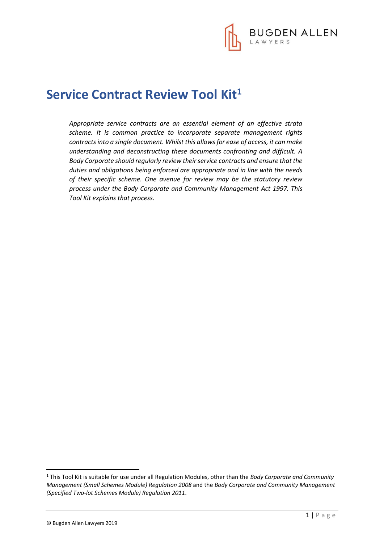

# **Service Contract Review Tool Kit<sup>1</sup>**

*Appropriate service contracts are an essential element of an effective strata scheme. It is common practice to incorporate separate management rights contracts into a single document. Whilst this allows for ease of access, it can make understanding and deconstructing these documents confronting and difficult. A Body Corporate should regularly review their service contracts and ensure that the duties and obligations being enforced are appropriate and in line with the needs of their specific scheme. One avenue for review may be the statutory review process under the Body Corporate and Community Management Act 1997. This Tool Kit explains that process.*

**.** 

<sup>1</sup> This Tool Kit is suitable for use under all Regulation Modules, other than the *Body Corporate and Community Management (Small Schemes Module) Regulation 2008* and the *Body Corporate and Community Management (Specified Two-lot Schemes Module) Regulation 2011*.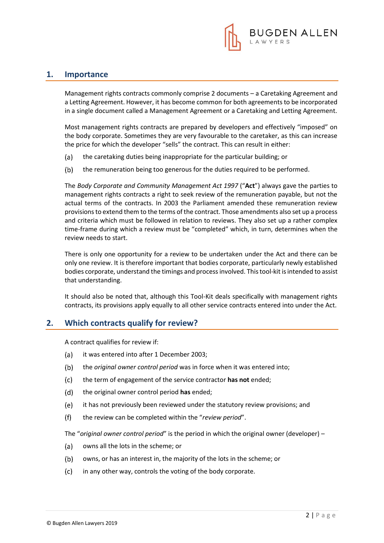

#### **1. Importance**

Management rights contracts commonly comprise 2 documents – a Caretaking Agreement and a Letting Agreement. However, it has become common for both agreements to be incorporated in a single document called a Management Agreement or a Caretaking and Letting Agreement.

Most management rights contracts are prepared by developers and effectively "imposed" on the body corporate. Sometimes they are very favourable to the caretaker, as this can increase the price for which the developer "sells" the contract. This can result in either:

- $(a)$ the caretaking duties being inappropriate for the particular building; or
- $(b)$ the remuneration being too generous for the duties required to be performed.

The *Body Corporate and Community Management Act 1997* ("**Act**") always gave the parties to management rights contracts a right to seek review of the remuneration payable, but not the actual terms of the contracts. In 2003 the Parliament amended these remuneration review provisions to extend them to the terms of the contract. Those amendments also set up a process and criteria which must be followed in relation to reviews. They also set up a rather complex time-frame during which a review must be "completed" which, in turn, determines when the review needs to start.

There is only one opportunity for a review to be undertaken under the Act and there can be only one review. It is therefore important that bodies corporate, particularly newly established bodies corporate, understand the timings and process involved. This tool-kit is intended to assist that understanding.

It should also be noted that, although this Tool-Kit deals specifically with management rights contracts, its provisions apply equally to all other service contracts entered into under the Act.

#### **2. Which contracts qualify for review?**

A contract qualifies for review if:

- $(a)$ it was entered into after 1 December 2003;
- $(b)$ the *original owner control period* was in force when it was entered into;
- $(c)$ the term of engagement of the service contractor **has not** ended;
- $(d)$ the original owner control period **has** ended;
- $(e)$ it has not previously been reviewed under the statutory review provisions; and
- $(f)$ the review can be completed within the "*review period*".

The "*original owner control period*" is the period in which the original owner (developer) –

- (a) owns all the lots in the scheme; or
- owns, or has an interest in, the majority of the lots in the scheme; or  $(b)$
- in any other way, controls the voting of the body corporate. $(c)$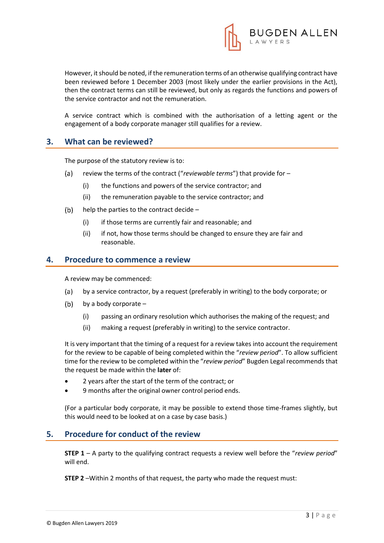

However, it should be noted, if the remuneration terms of an otherwise qualifying contract have been reviewed before 1 December 2003 (most likely under the earlier provisions in the Act), then the contract terms can still be reviewed, but only as regards the functions and powers of the service contractor and not the remuneration.

A service contract which is combined with the authorisation of a letting agent or the engagement of a body corporate manager still qualifies for a review.

### **3. What can be reviewed?**

The purpose of the statutory review is to:

- $(a)$ review the terms of the contract ("*reviewable terms*") that provide for –
	- (i) the functions and powers of the service contractor; and
	- (ii) the remuneration payable to the service contractor; and
- $(b)$ help the parties to the contract decide –
	- (i) if those terms are currently fair and reasonable; and
	- (ii) if not, how those terms should be changed to ensure they are fair and reasonable.

#### **4. Procedure to commence a review**

A review may be commenced:

- (a) by a service contractor, by a request (preferably in writing) to the body corporate; or
- $(b)$  by a body corporate
	- (i) passing an ordinary resolution which authorises the making of the request; and
	- (ii) making a request (preferably in writing) to the service contractor.

It is very important that the timing of a request for a review takes into account the requirement for the review to be capable of being completed within the "*review period*". To allow sufficient time for the review to be completed within the "*review period*" Bugden Legal recommends that the request be made within the **later** of:

- 2 years after the start of the term of the contract; or
- 9 months after the original owner control period ends.

(For a particular body corporate, it may be possible to extend those time-frames slightly, but this would need to be looked at on a case by case basis.)

#### **5. Procedure for conduct of the review**

**STEP 1** – A party to the qualifying contract requests a review well before the "*review period*" will end.

**STEP 2** –Within 2 months of that request, the party who made the request must: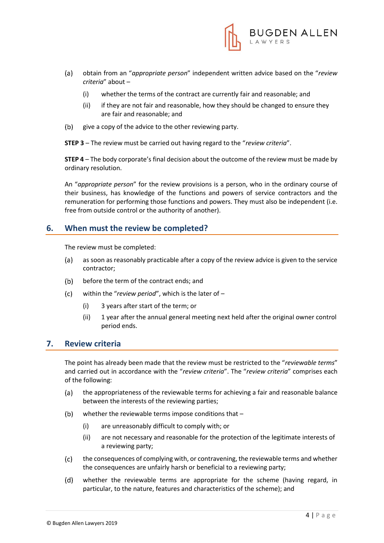

- $(a)$ obtain from an "*appropriate person*" independent written advice based on the "*review criteria*" about –
	- (i) whether the terms of the contract are currently fair and reasonable; and
	- (ii) if they are not fair and reasonable, how they should be changed to ensure they are fair and reasonable; and
- give a copy of the advice to the other reviewing party.  $(b)$

**STEP 3** – The review must be carried out having regard to the "*review criteria*".

**STEP 4** – The body corporate's final decision about the outcome of the review must be made by ordinary resolution.

An "*appropriate person*" for the review provisions is a person, who in the ordinary course of their business, has knowledge of the functions and powers of service contractors and the remuneration for performing those functions and powers. They must also be independent (i.e. free from outside control or the authority of another).

### **6. When must the review be completed?**

The review must be completed:

- as soon as reasonably practicable after a copy of the review advice is given to the service  $(a)$ contractor;
- $(b)$ before the term of the contract ends; and
- $(c)$ within the "*review period*", which is the later of –
	- (i) 3 years after start of the term; or
	- (ii) 1 year after the annual general meeting next held after the original owner control period ends.

#### **7. Review criteria**

The point has already been made that the review must be restricted to the "*reviewable terms*" and carried out in accordance with the "*review criteria*". The "*review criteria*" comprises each of the following:

- $(a)$ the appropriateness of the reviewable terms for achieving a fair and reasonable balance between the interests of the reviewing parties;
- $(b)$ whether the reviewable terms impose conditions that –
	- (i) are unreasonably difficult to comply with; or
	- (ii) are not necessary and reasonable for the protection of the legitimate interests of a reviewing party;
- the consequences of complying with, or contravening, the reviewable terms and whether  $(c)$ the consequences are unfairly harsh or beneficial to a reviewing party;
- $(d)$ whether the reviewable terms are appropriate for the scheme (having regard, in particular, to the nature, features and characteristics of the scheme); and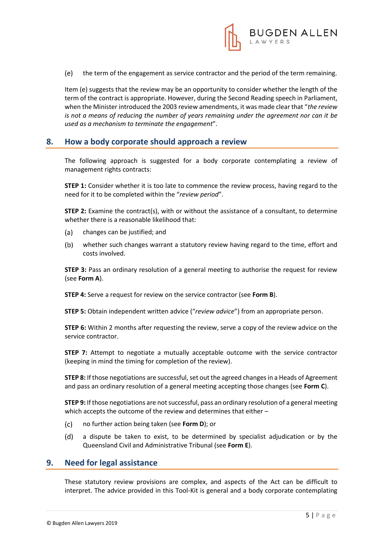

 $(e)$ the term of the engagement as service contractor and the period of the term remaining.

Item (e) suggests that the review may be an opportunity to consider whether the length of the term of the contract is appropriate. However, during the Second Reading speech in Parliament, when the Minister introduced the 2003 review amendments, it was made clear that "*the review is not a means of reducing the number of years remaining under the agreement nor can it be used as a mechanism to terminate the engagement*".

### **8. How a body corporate should approach a review**

The following approach is suggested for a body corporate contemplating a review of management rights contracts:

**STEP 1:** Consider whether it is too late to commence the review process, having regard to the need for it to be completed within the "*review period*".

**STEP 2:** Examine the contract(s), with or without the assistance of a consultant, to determine whether there is a reasonable likelihood that:

- $(a)$ changes can be justified; and
- $(b)$ whether such changes warrant a statutory review having regard to the time, effort and costs involved.

**STEP 3:** Pass an ordinary resolution of a general meeting to authorise the request for review (see **Form A**).

**STEP 4:** Serve a request for review on the service contractor (see **Form B**).

**STEP 5:** Obtain independent written advice ("*review advice*") from an appropriate person.

**STEP 6:** Within 2 months after requesting the review, serve a copy of the review advice on the service contractor.

**STEP 7:** Attempt to negotiate a mutually acceptable outcome with the service contractor (keeping in mind the timing for completion of the review).

**STEP 8:** If those negotiations are successful, set out the agreed changes in a Heads of Agreement and pass an ordinary resolution of a general meeting accepting those changes (see **Form C**).

**STEP 9:** If those negotiations are not successful, pass an ordinary resolution of a general meeting which accepts the outcome of the review and determines that either –

- $(c)$ no further action being taken (see **Form D**); or
- $(d)$ a dispute be taken to exist, to be determined by specialist adjudication or by the Queensland Civil and Administrative Tribunal (see **Form E**).

#### **9. Need for legal assistance**

These statutory review provisions are complex, and aspects of the Act can be difficult to interpret. The advice provided in this Tool-Kit is general and a body corporate contemplating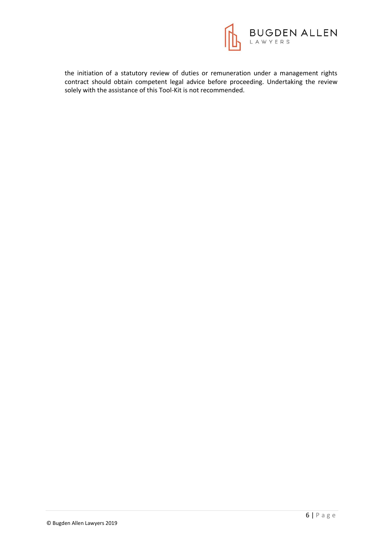

the initiation of a statutory review of duties or remuneration under a management rights contract should obtain competent legal advice before proceeding. Undertaking the review solely with the assistance of this Tool-Kit is not recommended.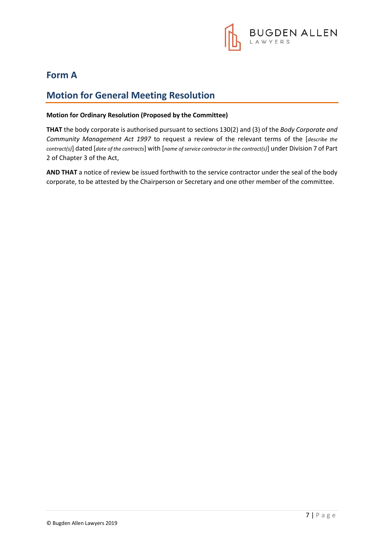

## **Form A**

# **Motion for General Meeting Resolution**

#### **Motion for Ordinary Resolution (Proposed by the Committee)**

**THAT** the body corporate is authorised pursuant to sections 130(2) and (3) of the *Body Corporate and Community Management Act 1997* to request a review of the relevant terms of the [*describe the contract(s)*] dated [*date of the contracts*] with [*name of service contractor in the contract(s)*] under Division 7 of Part 2 of Chapter 3 of the Act,

**AND THAT** a notice of review be issued forthwith to the service contractor under the seal of the body corporate, to be attested by the Chairperson or Secretary and one other member of the committee.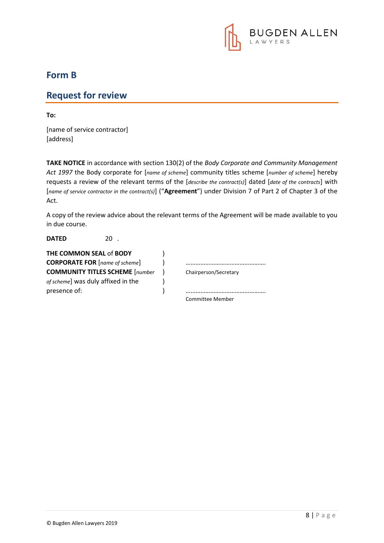

### **Form B**

### **Request for review**

**To:**

[name of service contractor] [address]

**TAKE NOTICE** in accordance with section 130(2) of the *Body Corporate and Community Management Act 1997* the Body corporate for [*name of scheme*] community titles scheme [*number of scheme*] hereby requests a review of the relevant terms of the [*describe the contract(s)*] dated [*date of the contracts*] with [*name of service contractor in the contract(s)*] ("**Agreement**") under Division 7 of Part 2 of Chapter 3 of the Act.

A copy of the review advice about the relevant terms of the Agreement will be made available to you in due course.

| <b>DATED</b>                           |  |                         |
|----------------------------------------|--|-------------------------|
| <b>THE COMMON SEAL of BODY</b>         |  |                         |
| <b>CORPORATE FOR</b> [name of scheme]  |  |                         |
| <b>COMMUNITY TITLES SCHEME</b> [number |  | Chairperson/Secretary   |
| of scheme] was duly affixed in the     |  |                         |
| presence of:                           |  |                         |
|                                        |  | <b>Committee Member</b> |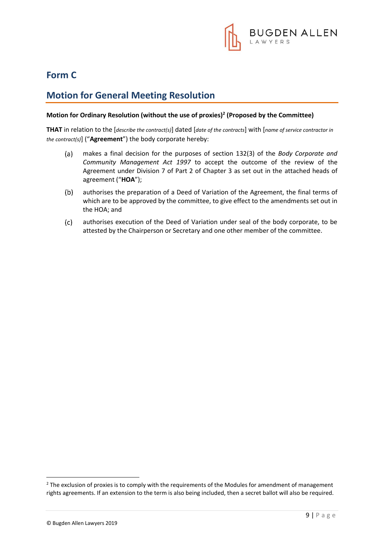

# **Form C**

# **Motion for General Meeting Resolution**

### **Motion for Ordinary Resolution (without the use of proxies)<sup>2</sup> (Proposed by the Committee)**

**THAT** in relation to the [*describe the contract(s)*] dated [*date of the contracts*] with [*name of service contractor in the contract(s)*] ("**Agreement**") the body corporate hereby:

- $(a)$ makes a final decision for the purposes of section 132(3) of the *Body Corporate and Community Management Act 1997* to accept the outcome of the review of the Agreement under Division 7 of Part 2 of Chapter 3 as set out in the attached heads of agreement ("**HOA**");
- authorises the preparation of a Deed of Variation of the Agreement, the final terms of  $(b)$ which are to be approved by the committee, to give effect to the amendments set out in the HOA; and
- $(c)$ authorises execution of the Deed of Variation under seal of the body corporate, to be attested by the Chairperson or Secretary and one other member of the committee.

1

<sup>&</sup>lt;sup>2</sup> The exclusion of proxies is to comply with the requirements of the Modules for amendment of management rights agreements. If an extension to the term is also being included, then a secret ballot will also be required.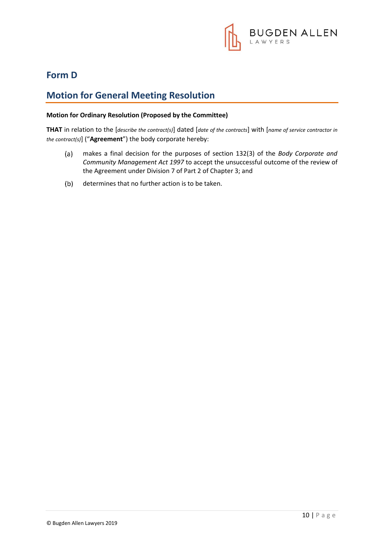

## **Form D**

# **Motion for General Meeting Resolution**

#### **Motion for Ordinary Resolution (Proposed by the Committee)**

**THAT** in relation to the [*describe the contract(s)*] dated [*date of the contracts*] with [*name of service contractor in the contract(s)*] ("**Agreement**") the body corporate hereby:

- makes a final decision for the purposes of section 132(3) of the *Body Corporate and*   $(a)$ *Community Management Act 1997* to accept the unsuccessful outcome of the review of the Agreement under Division 7 of Part 2 of Chapter 3; and
- $(b)$ determines that no further action is to be taken.